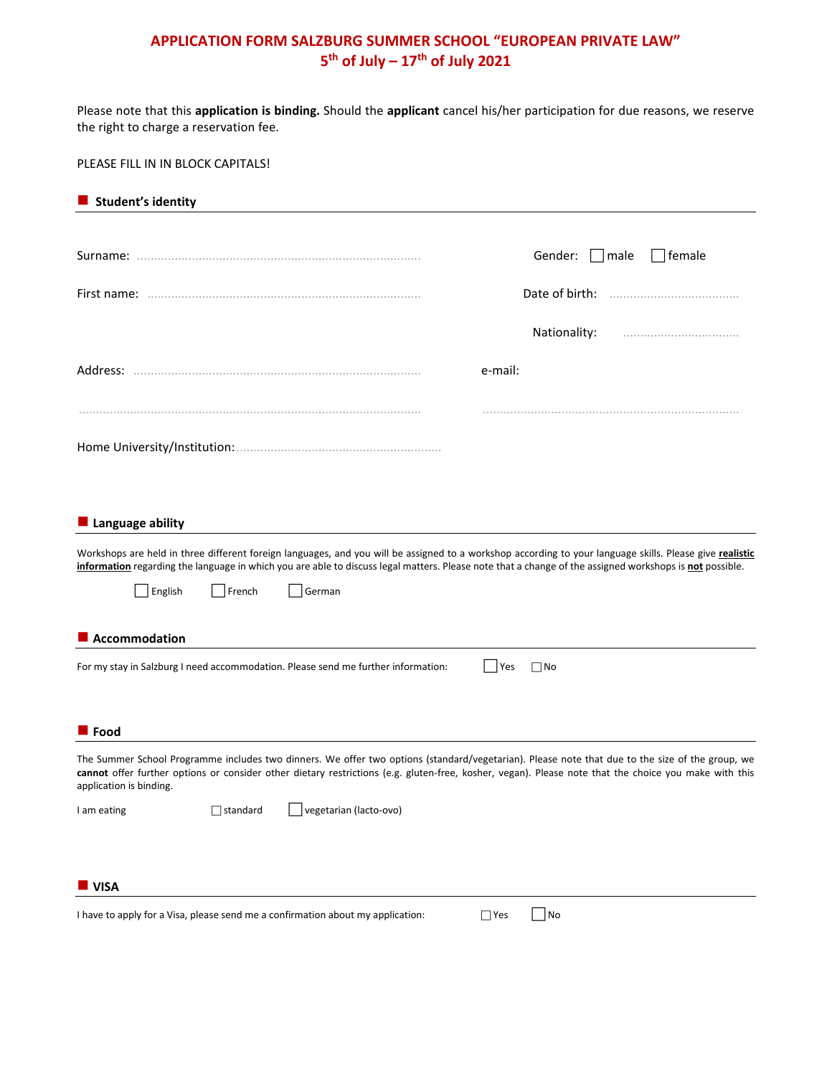## **APPLICATION FORM SALZBURG SUMMER SCHOOL "EUROPEAN PRIVATE LAW" 5th of July – 17th of July 2021**

Please note that this **application is binding.** Should the **applicant** cancel his/her participation for due reasons, we reserve the right to charge a reservation fee.

PLEASE FILL IN IN BLOCK CAPITALS!

| Student's identity                                                                                                                                                                                                                                                                                                                  |
|-------------------------------------------------------------------------------------------------------------------------------------------------------------------------------------------------------------------------------------------------------------------------------------------------------------------------------------|
|                                                                                                                                                                                                                                                                                                                                     |
| Gender:<br>  male<br>$\Box$ female                                                                                                                                                                                                                                                                                                  |
|                                                                                                                                                                                                                                                                                                                                     |
| Nationality:                                                                                                                                                                                                                                                                                                                        |
| e-mail:                                                                                                                                                                                                                                                                                                                             |
|                                                                                                                                                                                                                                                                                                                                     |
| Language ability                                                                                                                                                                                                                                                                                                                    |
| Workshops are held in three different foreign languages, and you will be assigned to a workshop according to your language skills. Please give realistic<br>information regarding the language in which you are able to discuss legal matters. Please note that a change of the assigned workshops is not possible.                 |
| English<br>French<br>German                                                                                                                                                                                                                                                                                                         |
| Accommodation                                                                                                                                                                                                                                                                                                                       |
| For my stay in Salzburg I need accommodation. Please send me further information:<br>$\Box$ No<br>Yes                                                                                                                                                                                                                               |
| $\blacksquare$ Food                                                                                                                                                                                                                                                                                                                 |
| The Summer School Programme includes two dinners. We offer two options (standard/vegetarian). Please note that due to the size of the group, we<br>cannot offer further options or consider other dietary restrictions (e.g. gluten-free, kosher, vegan). Please note that the choice you make with this<br>application is binding. |
| vegetarian (lacto-ovo)<br>I am eating<br>$\Box$ standard                                                                                                                                                                                                                                                                            |
|                                                                                                                                                                                                                                                                                                                                     |
| <b>U</b> VISA<br>I have to apply for a Visa, please send me a confirmation about my application:<br> No<br>$\Box$ Yes                                                                                                                                                                                                               |